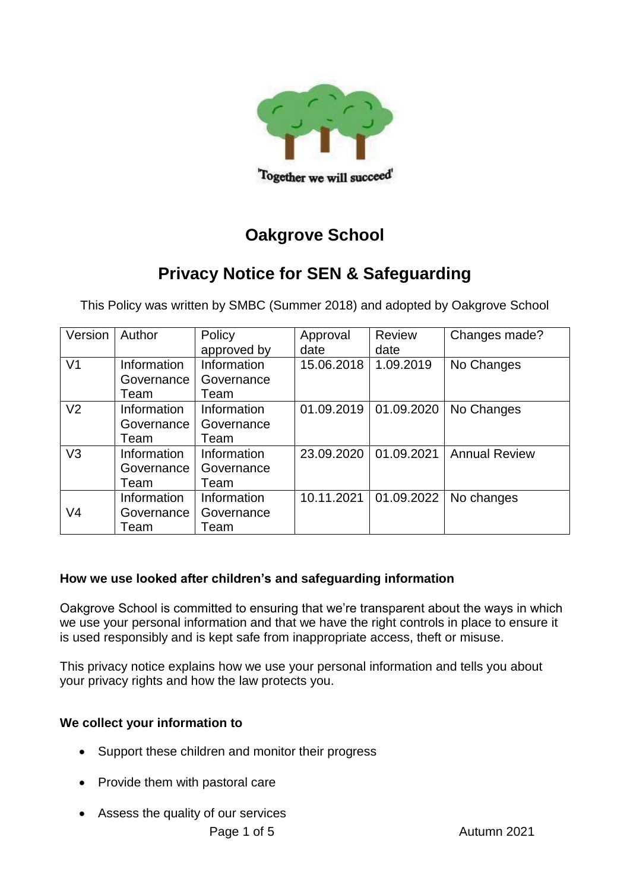

# **Oakgrove School**

# **Privacy Notice for SEN & Safeguarding**

This Policy was written by SMBC (Summer 2018) and adopted by Oakgrove School

| Version        | Author      | Policy      | Approval   | <b>Review</b> | Changes made?        |
|----------------|-------------|-------------|------------|---------------|----------------------|
|                |             | approved by | date       | date          |                      |
| V <sub>1</sub> | Information | Information | 15.06.2018 | 1.09.2019     | No Changes           |
|                | Governance  | Governance  |            |               |                      |
|                | Team        | Team        |            |               |                      |
| V <sub>2</sub> | Information | Information | 01.09.2019 | 01.09.2020    | No Changes           |
|                | Governance  | Governance  |            |               |                      |
|                | Team        | Team        |            |               |                      |
| V <sub>3</sub> | Information | Information | 23.09.2020 | 01.09.2021    | <b>Annual Review</b> |
|                | Governance  | Governance  |            |               |                      |
|                | Team        | Team        |            |               |                      |
|                | Information | Information | 10.11.2021 | 01.09.2022    | No changes           |
| V4             | Governance  | Governance  |            |               |                      |
|                | Team        | Team        |            |               |                      |

## **How we use looked after children's and safeguarding information**

Oakgrove School is committed to ensuring that we're transparent about the ways in which we use your personal information and that we have the right controls in place to ensure it is used responsibly and is kept safe from inappropriate access, theft or misuse.

This privacy notice explains how we use your personal information and tells you about your privacy rights and how the law protects you.

## **We collect your information to**

- Support these children and monitor their progress
- Provide them with pastoral care
- Assess the quality of our services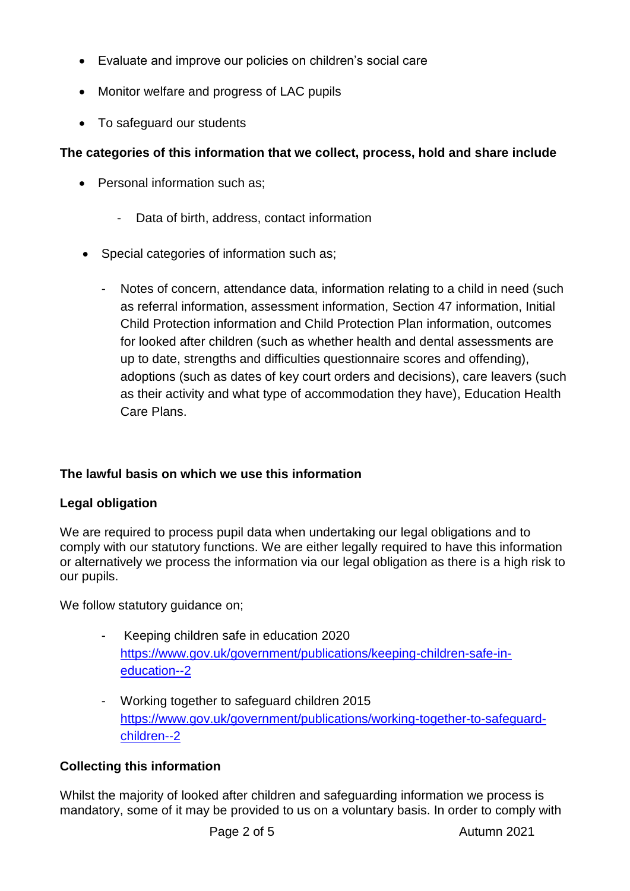- Evaluate and improve our policies on children's social care
- Monitor welfare and progress of LAC pupils
- To safeguard our students

# **The categories of this information that we collect, process, hold and share include**

- Personal information such as:
	- Data of birth, address, contact information
- Special categories of information such as;
	- Notes of concern, attendance data, information relating to a child in need (such as referral information, assessment information, Section 47 information, Initial Child Protection information and Child Protection Plan information, outcomes for looked after children (such as whether health and dental assessments are up to date, strengths and difficulties questionnaire scores and offending), adoptions (such as dates of key court orders and decisions), care leavers (such as their activity and what type of accommodation they have), Education Health Care Plans.

# **The lawful basis on which we use this information**

## **Legal obligation**

We are required to process pupil data when undertaking our legal obligations and to comply with our statutory functions. We are either legally required to have this information or alternatively we process the information via our legal obligation as there is a high risk to our pupils.

We follow statutory guidance on;

- Keeping children safe in education 2020 [https://www.gov.uk/government/publications/keeping-children-safe-in](https://www.gov.uk/government/publications/keeping-children-safe-in-education--2)[education--2](https://www.gov.uk/government/publications/keeping-children-safe-in-education--2)
- Working together to safeguard children 2015 [https://www.gov.uk/government/publications/working-together-to-safeguard](https://www.gov.uk/government/publications/working-together-to-safeguard-children--2)[children--2](https://www.gov.uk/government/publications/working-together-to-safeguard-children--2)

# **Collecting this information**

Whilst the majority of looked after children and safeguarding information we process is mandatory, some of it may be provided to us on a voluntary basis. In order to comply with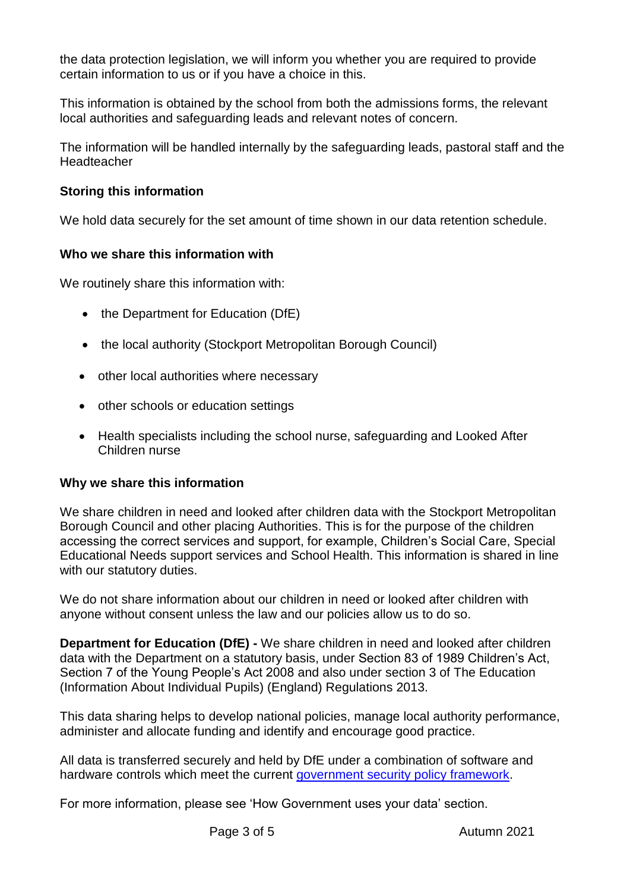the data protection legislation, we will inform you whether you are required to provide certain information to us or if you have a choice in this.

This information is obtained by the school from both the admissions forms, the relevant local authorities and safeguarding leads and relevant notes of concern.

The information will be handled internally by the safeguarding leads, pastoral staff and the **Headteacher** 

#### **Storing this information**

We hold data securely for the set amount of time shown in our data retention schedule.

#### **Who we share this information with**

We routinely share this information with:

- the Department for Education (DfE)
- the local authority (Stockport Metropolitan Borough Council)
- other local authorities where necessary
- other schools or education settings
- Health specialists including the school nurse, safeguarding and Looked After Children nurse

## **Why we share this information**

We share children in need and looked after children data with the Stockport Metropolitan Borough Council and other placing Authorities. This is for the purpose of the children accessing the correct services and support, for example, Children's Social Care, Special Educational Needs support services and School Health. This information is shared in line with our statutory duties.

We do not share information about our children in need or looked after children with anyone without consent unless the law and our policies allow us to do so.

**Department for Education (DfE) -** We share children in need and looked after children data with the Department on a statutory basis, under Section 83 of 1989 Children's Act, Section 7 of the Young People's Act 2008 and also under section 3 of The Education (Information About Individual Pupils) (England) Regulations 2013.

This data sharing helps to develop national policies, manage local authority performance, administer and allocate funding and identify and encourage good practice.

All data is transferred securely and held by DfE under a combination of software and hardware controls which meet the current [government security policy framework.](https://www.gov.uk/government/publications/security-policy-framework)

For more information, please see 'How Government uses your data' section.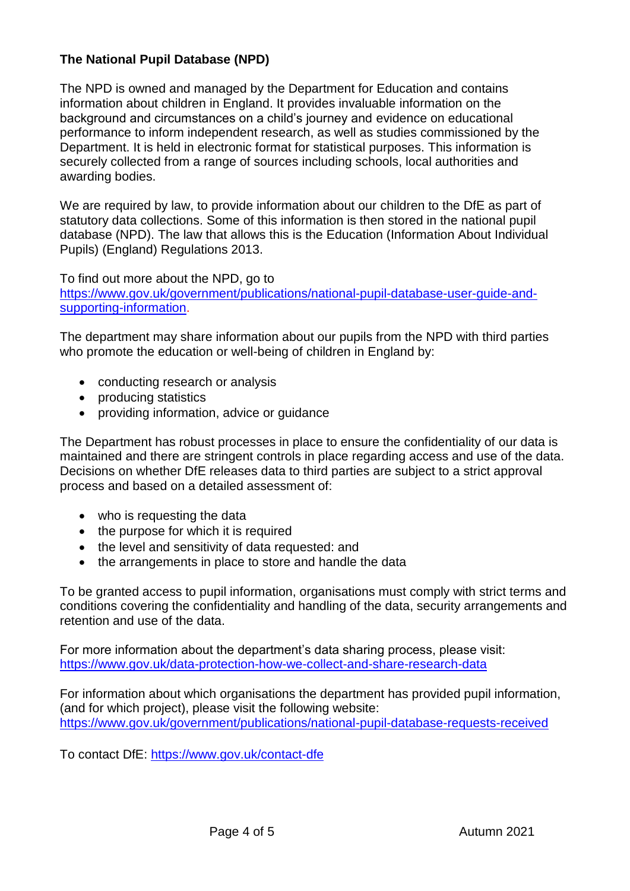# **The National Pupil Database (NPD)**

The NPD is owned and managed by the Department for Education and contains information about children in England. It provides invaluable information on the background and circumstances on a child's journey and evidence on educational performance to inform independent research, as well as studies commissioned by the Department. It is held in electronic format for statistical purposes. This information is securely collected from a range of sources including schools, local authorities and awarding bodies.

We are required by law, to provide information about our children to the DfE as part of statutory data collections. Some of this information is then stored in the national pupil database (NPD). The law that allows this is the Education (Information About Individual Pupils) (England) Regulations 2013.

To find out more about the NPD, go to

[https://www.gov.uk/government/publications/national-pupil-database-user-guide-and](https://www.gov.uk/government/publications/national-pupil-database-user-guide-and-supporting-information)[supporting-information.](https://www.gov.uk/government/publications/national-pupil-database-user-guide-and-supporting-information)

The department may share information about our pupils from the NPD with third parties who promote the education or well-being of children in England by:

- conducting research or analysis
- producing statistics
- providing information, advice or guidance

The Department has robust processes in place to ensure the confidentiality of our data is maintained and there are stringent controls in place regarding access and use of the data. Decisions on whether DfE releases data to third parties are subject to a strict approval process and based on a detailed assessment of:

- who is requesting the data
- the purpose for which it is required
- the level and sensitivity of data requested: and
- the arrangements in place to store and handle the data

To be granted access to pupil information, organisations must comply with strict terms and conditions covering the confidentiality and handling of the data, security arrangements and retention and use of the data.

For more information about the department's data sharing process, please visit: <https://www.gov.uk/data-protection-how-we-collect-and-share-research-data>

For information about which organisations the department has provided pupil information, (and for which project), please visit the following website: <https://www.gov.uk/government/publications/national-pupil-database-requests-received>

To contact DfE:<https://www.gov.uk/contact-dfe>